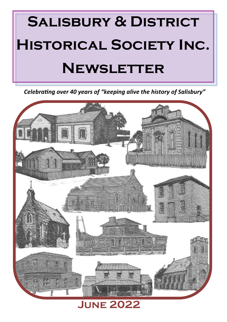

*Celebrating over 40 years of "keeping alive the history of Salisbury"*

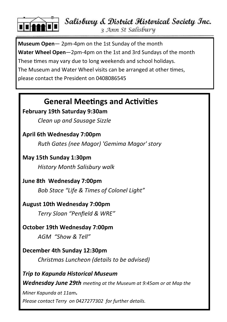

Salisbury & District Historical Society Inc.

3 Ann St Salisbury

**Museum Open**— 2pm-4pm on the 1st Sunday of the month **Water Wheel Open**—2pm-4pm on the 1st and 3rd Sundays of the month These times may vary due to long weekends and school holidays. The Museum and Water Wheel visits can be arranged at other times, please contact the President on 0408086545

# **General Meetings and Activities**

# **February 19th Saturday 9:30am**

*Clean up and Sausage Sizzle*

# **April 6th Wednesday 7:00pm**

*Ruth Gates (nee Magor) 'Gemima Magor' story* 

# **May 15th Sunday 1:30pm**

*History Month Salisbury walk* 

# **June 8th Wednesday 7:00pm**

*Bob Stace "Life & Times of Colonel Light"*

# **August 10th Wednesday 7:00pm**

*Terry Sloan "Penfield & WRE"*

# **October 19th Wednesday 7:00pm**

*AGM "Show & Tell"*

# **December 4th Sunday 12:30pm**

*Christmas Luncheon (details to be advised)*

# *Trip to Kapunda Historical Museum Wednesday June 29th meeting at the Museum at 9:45am or at Map the Miner Kapunda at 11am. Please contact Terry on 0427277302 for further details.*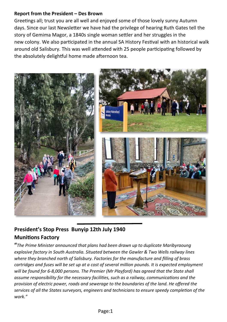#### **Report from the President – Des Brown**

Greetings all; trust you are all well and enjoyed some of those lovely sunny Autumn days. Since our last Newsletter we have had the privilege of hearing Ruth Gates tell the story of Gemima Magor, a 1840s single woman settler and her struggles in the new colony. We also participated in the annual SA History Festival with an historical walk around old Salisbury. This was well attended with 25 people participating followed by the absolutely delightful home made afternoon tea.



# **President's Stop Press Bunyip 12th July 1940 Munitions Factory**

**"***The Prime Minister announced that plans had been drawn up to duplicate Maribyraoung explosive factory in South Australia. Situated between the Gawler & Two Wells railway lines where they branched north of Salisbury. Factories for the manufacture and filling of brass cartridges and fuses will be set up at a cost of several million pounds. It is expected employment will be found for 6-8,000 persons. The Premier (Mr Playford) has agreed that the State shall assume responsibility for the necessary facilities, such as a railway, communications and the provision of electric power, roads and sewerage to the boundaries of the land. He offered the services of all the States surveyors, engineers and technicians to ensure speedy completion of the work."*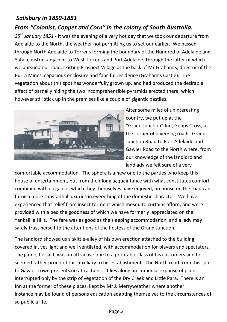### *Salisbury in 1850-1851*

# *From "Colonist, Copper and Corn" in the colony of South Australia.*

*25th January 1851 -* it was the evening of a very hot day that we took our departure from Adelaide to the North, the weather not permitting us to set our earlier. We passed through North Adelaide to Torrens forming the boundary of the Hundred of Adelaide and Yatala, district adjacent to West Torrens and Port Adelaide, through the latter of which we pursued our road, skirting Prospect Village at the back of Mr Graham's, director of the Burra Mines, capacious enclosure and fanciful residence (Graham's Castle). The vegetation about this spot has wonderfully grown up, and had produced the desirable effect of partially hiding the two incomprehensible pyramids erected there, which however still stick up in the premises like a couple of gigantic pastiles.



After some miles of uninteresting country, we put up at the "Grand Junction" Inn, Gepps Cross, at the corner of diverging roads, Grand Junction Road to Port Adelaide and Gawler Road to the North where, from our knowledge of the landlord and landlady we felt sure of a very

comfortable accommodation. The sphere is a new one to the parties who keep this house of entertainment, but from their long acquaintance with what constitutes comfort combined with elegance, which they themselves have enjoyed, no house on the road can furnish more substantial luxuries in everything of the domestic character. We have experienced that relief from insect torment which mosquito curtains afford, and were provided with a bed the goodness of which we have formerly appreciated on the Yankalilla Hills. The fare was as good as the sleeping accommodation, and a lady may safely trust herself to the attentions of the hostess of the Grand Junction.

The landlord showed us a skittle-alley of his own erection attached to the building, covered in, yet light and well ventilated, with accommodation for players and spectators. The game, he said, was an attractive one to a profitable class of his customers and he seemed rather proud of this auxiliary to his establishment. The North road from this spot to Gawler Town presents no attractions. It lies along an immense expanse of plain, interrupted only by the strip of vegetation of the Dry Creek and Little Para. There is an Inn at the former of these places, kept by Mr J. Merryweather where another instance may be found of persons education adapting themselves to the circumstances of so public a life.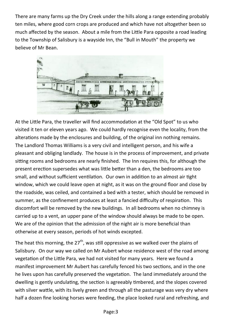There are many farms up the Dry Creek under the hills along a range extending probably ten miles, where good corn crops are produced and which have not altogether been so much affected by the season. About a mile from the Little Para opposite a road leading to the Township of Salisbury is a wayside Inn, the "Bull in Mouth" the property we believe of Mr Bean.



At the Little Para, the traveller will find accommodation at the "Old Spot" to us who visited it ten or eleven years ago. We could hardly recognise even the locality, from the alterations made by the enclosures and building, of the original inn nothing remains. The Landlord Thomas Williams is a very civil and intelligent person, and his wife a pleasant and obliging landlady. The house is in the process of improvement, and private sitting rooms and bedrooms are nearly finished. The Inn requires this, for although the present erection supersedes what was little better than a den, the bedrooms are too small, and without sufficient ventilation. Our own in addition to an almost air tight window, which we could leave open at night, as it was on the ground floor and close by the roadside, was ceiled, and contained a bed with a tester, which should be removed in summer, as the confinement produces at least a fancied difficulty of respiration. This discomfort will be removed by the new buildings. In all bedrooms when no chimney is carried up to a vent, an upper pane of the window should always be made to be open. We are of the opinion that the admission of the night air is more beneficial than otherwise at every season, periods of hot winds excepted.

The heat this morning, the  $27<sup>th</sup>$ , was still oppressive as we walked over the plains of Salisbury. On our way we called on Mr Aubert whose residence west of the road among vegetation of the Little Para, we had not visited for many years. Here we found a manifest improvement Mr Aubert has carefully fenced his two sections, and in the one he lives upon has carefully preserved the vegetation. The land immediately around the dwelling is gently undulating, the section is agreeably timbered, and the slopes covered with silver wattle, with its lively green and through all the pasturage was very dry where half a dozen fine looking horses were feeding, the place looked rural and refreshing, and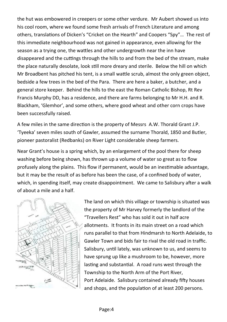the hut was embowered in creepers or some other verdure. Mr Aubert showed us into his cool room, where we found some fresh arrivals of French Literature and among others, translations of Dicken's "Cricket on the Hearth" and Coopers "Spy"… The rest of this immediate neighbourhood was not gained in appearance, even allowing for the season as a trying one, the wattles and other undergrowth near the inn have disappeared and the cuttings through the hills to and from the bed of the stream, make the place naturally desolate, look still more dreary and sterile. Below the hill on which Mr Broadbent has pitched his tent, is a small wattle scrub, almost the only green object, bedside a few trees in the bed of the Para. There are here a baker, a butcher, and a general store keeper. Behind the hills to the east the Roman Catholic Bishop, Rt Rev Francis Murphy DD, has a residence, and there are farms belonging to Mr H.H. and R. Blackham, 'Glemhor', and some others, where good wheat and other corn crops have been successfully raised.

A few miles in the same direction is the property of Messrs A.W. Thorald Grant J.P. 'Tyeeka' seven miles south of Gawler, assumed the surname Thorald, 1850 and Butler, pioneer pastoralist (Redbanks) on River Light considerable sheep farmers.

Near Grant's house is a spring which, by an enlargement of the pool there for sheep washing before being shown, has thrown up a volume of water so great as to flow profusely along the plains. This flow if permanent, would be an inestimable advantage, but it may be the result of as before has been the case, of a confined body of water, which, in spending itself, may create disappointment. We came to Salisbury after a walk of about a mile and a half.



The land on which this village or township is situated was the property of Mr Harvey formerly the landlord of the "Travellers Rest" who has sold it out in half acre allotments. It fronts in its main street on a road which runs parallel to that from Hindmarsh to North Adelaide, to Gawler Town and bids fair to rival the old road in traffic. Salisbury, until lately, was unknown to us, and seems to have sprung up like a mushroom to be, however, more lasting and substantial. A road runs west through the Township to the North Arm of the Port River, Port Adelaide. Salisbury contained already fifty houses and shops, and the population of at least 200 persons.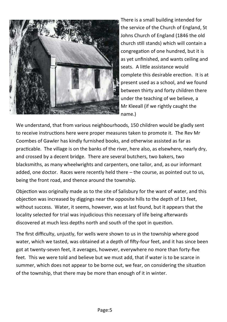

There is a small building intended for the service of the Church of England, St Johns Church of England (1846 the old church still stands) which will contain a congregation of one hundred, but it is as yet unfinished, and wants ceiling and seats. A little assistance would complete this desirable erection. It is at present used as a school, and we found between thirty and forty children there under the teaching of we believe, a Mr Kleeall (if we rightly caught the name.)

We understand, that from various neighbourhoods, 150 children would be gladly sent to receive instructions here were proper measures taken to promote it. The Rev Mr Coombes of Gawler has kindly furnished books, and otherwise assisted as far as practicable. The village is on the banks of the river, here also, as elsewhere, nearly dry, and crossed by a decent bridge. There are several butchers, two bakers, two blacksmiths, as many wheelwrights and carpenters, one tailor, and, as our informant added, one doctor. Races were recently held there – the course, as pointed out to us, being the front road, and thence around the township.

Objection was originally made as to the site of Salisbury for the want of water, and this objection was increased by diggings near the opposite hills to the depth of 13 feet, without success. Water, it seems, however, was at last found, but it appears that the locality selected for trial was injudicious this necessary of life being afterwards discovered at much less depths north and south of the spot in question.

The first difficulty, unjustly, for wells were shown to us in the township where good water, which we tasted, was obtained at a depth of fifty-four feet, and it has since been got at twenty-seven feet, it averages, however, everywhere no more than forty-five feet. This we were told and believe but we must add, that if water is to be scarce in summer, which does not appear to be borne out, we fear, on considering the situation of the township, that there may be more than enough of it in winter.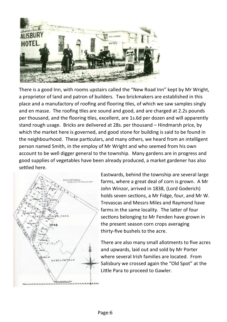

There is a good Inn, with rooms upstairs called the "New Road Inn" kept by Mr Wright, a proprietor of land and patron of builders. Two brickmakers are established in this place and a manufactory of roofing and flooring tiles, of which we saw samples singly and en masse. The roofing tiles are sound and good, and are charged at 2.2s pounds per thousand, and the flooring tiles, excellent, are 1s.6d per dozen and will apparently stand rough usage. Bricks are delivered at 28s. per thousand – Hindmarsh price, by which the market here is governed, and good stone for building is said to be found in the neighbourhood. These particulars, and many others, we heard from an intelligent person named Smith, in the employ of Mr Wright and who seemed from his own account to be well digger general to the township. Many gardens are in progress and good supplies of vegetables have been already produced, a market gardener has also settled here.



Eastwards, behind the township are several large farms, where a great deal of corn is grown. A Mr John Winzor, arrived in 1838, (Lord Goderich) holds seven sections, a Mr Fidge, four, and Mr W. Trevascas and Messrs Miles and Raymond have farms in the same locality. The latter of four sections belonging to Mr Fenden have grown in the present season corn crops averaging thirty-five bushels to the acre.

There are also many small allotments to five acres and upwards, laid out and sold by Mr Porter where several Irish families are located. From Salisbury we crossed again the "Old Spot" at the Little Para to proceed to Gawler.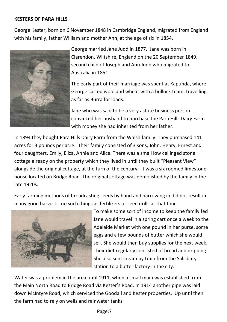#### **KESTERS OF PARA HILLS**

George Kester, born on 6 November 1848 in Cambridge England, migrated from England with his family, father William and mother Ann, at the age of six in 1854.



George married Jane Judd in 1877. Jane was born in Clarendon, Wiltshire, England on the 20 September 1849, second child of Joseph and Ann Judd who migrated to Australia in 1851.

The early part of their marriage was spent at Kapunda, where George carted wool and wheat with a bullock team, travelling as far as Burra for loads.

Jane who was said to be a very astute business person convinced her husband to purchase the Para Hills Dairy Farm with money she had inherited from her father.

In 1894 they bought Para Hills Dairy Farm from the Walsh family. They purchased 141 acres for 3 pounds per acre. Their family consisted of 3 sons, John, Henry, Ernest and four daughters, Emily, Eliza, Annie and Alice. There was a small low ceilinged stone cottage already on the property which they lived in until they built "Pleasant View" alongside the original cottage, at the turn of the century. It was a six roomed limestone house located on Bridge Road. The original cottage was demolished by the family in the late 1920s.

Early farming methods of broadcasting seeds by hand and harrowing in did not result in many good harvests, no such things as fertilizers or seed drills at that time.



To make some sort of income to keep the family fed Jane would travel in a spring cart once a week to the Adelaide Market with one pound in her purse, some eggs and a few pounds of butter which she would sell. She would then buy supplies for the next week. Their diet regularly consisted of bread and dripping. She also sent cream by train from the Salisbury station to a butter factory in the city.

Water was a problem in the area until 1911, when a small main was established from the Main North Road to Bridge Road via Kester's Road. In 1914 another pipe was laid down McIntyre Road, which serviced the Goodall and Kester properties. Up until then the farm had to rely on wells and rainwater tanks.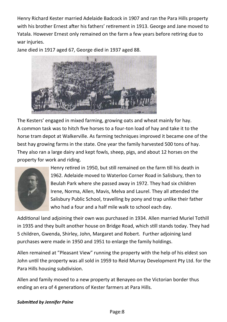Henry Richard Kester married Adelaide Badcock in 1907 and ran the Para Hills property with his brother Ernest after his fathers' retirement in 1913. George and Jane moved to Yatala. However Ernest only remained on the farm a few years before retiring due to war injuries.

Jane died in 1917 aged 67, George died in 1937 aged 88.



The Kesters' engaged in mixed farming, growing oats and wheat mainly for hay. A common task was to hitch five horses to a four-ton load of hay and take it to the horse tram depot at Walkerville. As farming techniques improved it became one of the best hay growing farms in the state. One year the family harvested 500 tons of hay. They also ran a large dairy and kept fowls, sheep, pigs, and about 12 horses on the property for work and riding.



Henry retired in 1950, but still remained on the farm till his death in 1962. Adelaide moved to Waterloo Corner Road in Salisbury, then to Beulah Park where she passed away in 1972. They had six children Irene, Norma, Allen, Mavis, Melva and Laurel. They all attended the Salisbury Public School, travelling by pony and trap unlike their father who had a four and a half mile walk to school each day.

Additional land adjoining their own was purchased in 1934. Allen married Muriel Tothill in 1935 and they built another house on Bridge Road, which still stands today. They had 5 children, Gwenda, Shirley, John, Margaret and Robert. Further adjoining land purchases were made in 1950 and 1951 to enlarge the family holdings.

Allen remained at "Pleasant View" running the property with the help of his eldest son John until the property was all sold in 1959 to Reid Murray Development Pty Ltd. for the Para Hills housing subdivision.

Allen and family moved to a new property at Benayeo on the Victorian border thus ending an era of 4 generations of Kester farmers at Para Hills.

#### *Submitted by Jennifer Paine*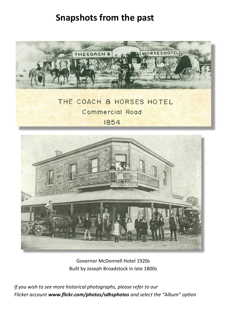# **Snapshots from the past**



**Commercial Road** 

1854



Governor McDonnell Hotel 1920s Built by Joseph Broadstock in late 1800s

*If you wish to see more historical photographs, please refer to our Flicker account www.flickr.com/photos/sdhsphotos and select the "Album" option*